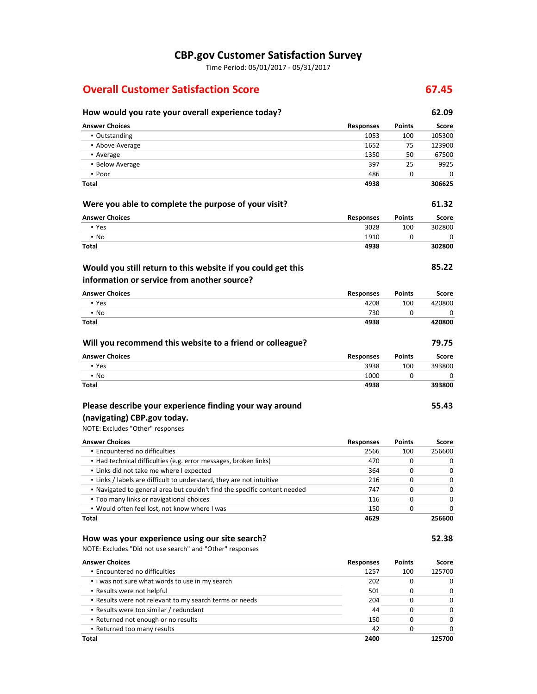# **CBP.gov Customer Satisfaction Survey**

Time Period: 05/01/2017 - 05/31/2017

# **Overall Customer Satisfaction Score 67.45**

## **How would you rate your overall experience today? 62.09 Answer Choices Responses Points Score** ▪ Outstanding 1053 100 105300 ▪ Above Average 1652 75 123900 **•** Average 1350 50 67500 **67500** ▪ Below Average 397 25 9925 ▪ Poor 486 0 0 **Total 4938 306625 Were you able to complete the purpose of your visit? 61.32 Answer Choices Responses Points Score** • Yes 3028 100 302800 **100 302800** 100 302800 100 302800 100 302800 100 302800 100 302800 100 302800 100 302800 100 30 ▪ No 1910 0 0 **Total 4938 302800 85.22 Answer Choices Responses Points Score** ▪ Yes 4208 100 420800 ▪ No 730 0 0 **Total 4938 420800 Will you recommend this website to a friend or colleague? 79.75 Answer Choices Responses Points Score** ▪ Yes 3938 100 393800 ▪ No 1000 0 0 **Total 4938 393800 55.43** NOTE: Excludes "Other" responses **Answer Choices Responses Points Score** ▪ Encountered no difficulties 2566 100 256600 **•** Had technical difficulties (e.g. error messages, broken links) 470 0 0 0 0 ▪ Links did not take me where I expected 364 0 0 ▪ Links / labels are difficult to understand, they are not intuitive 216 0 0 ▪ Navigated to general area but couldn't find the specific content needed 747 0 0 ▪ Too many links or navigational choices 116 0 0 ▪ Would often feel lost, not know where I was 150 0 0 **Total 4629 256600 Would you still return to this website if you could get this information or service from another source? Please describe your experience finding your way around (navigating) CBP.gov today.**

#### **How was your experience using our site search? 52.38**

NOTE: Excludes "Did not use search" and "Other" responses

| <b>Answer Choices</b>                                   | <b>Responses</b> | <b>Points</b> | Score        |
|---------------------------------------------------------|------------------|---------------|--------------|
| • Encountered no difficulties                           | 1257             | 100           | 125700       |
| I was not sure what words to use in my search           | 202              | 0             | 0            |
| • Results were not helpful                              | 501              | ი             | 0            |
| . Results were not relevant to my search terms or needs | 204              | 0             | 0            |
| • Results were too similar / redundant                  | 44               | ი             | 0            |
| • Returned not enough or no results                     | 150              | 0             | $\Omega$     |
| • Returned too many results                             | 42               | 0             | <sup>0</sup> |
| Total                                                   | 2400             |               | 125700       |